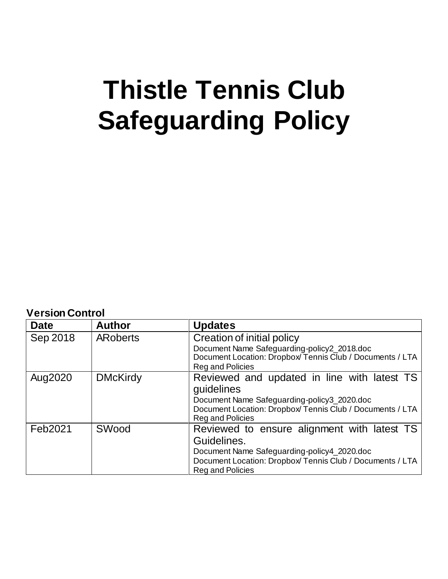# **Thistle Tennis Club Safeguarding Policy**

**Version Control**

| <b>Date</b> | <b>Author</b>   | <b>Updates</b>                                                                                                                                                                                    |
|-------------|-----------------|---------------------------------------------------------------------------------------------------------------------------------------------------------------------------------------------------|
| Sep 2018    | <b>ARoberts</b> | Creation of initial policy<br>Document Name Safeguarding-policy2_2018.doc<br>Document Location: Dropbox/Tennis Club / Documents / LTA<br>Reg and Policies                                         |
| Aug2020     | <b>DMcKirdy</b> | Reviewed and updated in line with latest TS<br>guidelines<br>Document Name Safeguarding-policy3_2020.doc<br>Document Location: Dropbox/Tennis Club / Documents / LTA<br>Reg and Policies          |
| Feb2021     | SWood           | Reviewed to ensure alignment with latest TS<br>Guidelines.<br>Document Name Safeguarding-policy4_2020.doc<br>Document Location: Dropbox/ Tennis Club / Documents / LTA<br><b>Reg and Policies</b> |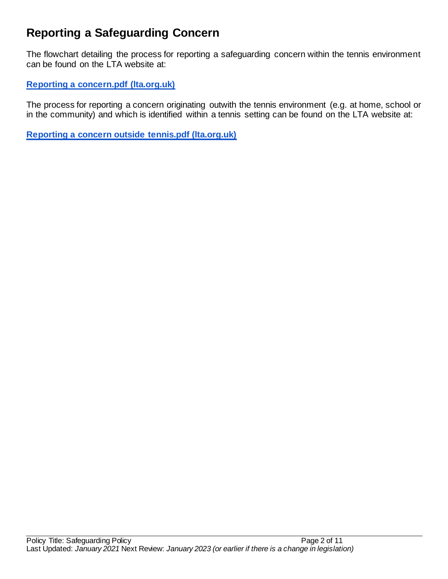# **Reporting a Safeguarding Concern**

The flowchart detailing the process for reporting a safeguarding concern within the tennis environment can be found on the LTA website at:

# **[Reporting a concern.pdf \(lta.org.uk\)](https://www.lta.org.uk/globalassets/about-lta/safeguarding/flowchart-reporting-a-concern-within-tennis.pdf)**

The process for reporting a concern originating outwith the tennis environment (e.g. at home, school or in the community) and which is identified within a tennis setting can be found on the LTA website at:

**[Reporting a concern outside tennis.pdf \(lta.org.uk\)](https://www.lta.org.uk/globalassets/about-lta/safeguarding/flowchart-reporting-a-concern-outside-tennis.pdf)**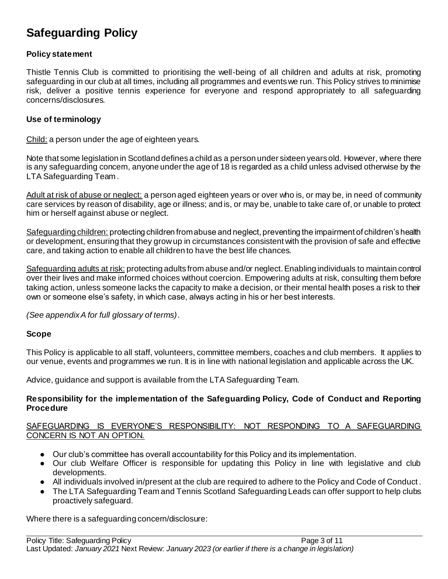# **Safeguarding Policy**

## **Policy statement**

Thistle Tennis Club is committed to prioritising the well-being of all children and adults at risk, promoting safeguarding in our club at all times, including all programmes and events we run. This Policy strives to minimise risk, deliver a positive tennis experience for everyone and respond appropriately to all safeguarding concerns/disclosures.

#### **Use of terminology**

Child: a person under the age of eighteen years.

Note that some legislation in Scotland defines a child as a person under sixteen years old. However, where there is any safeguarding concern, anyone under the age of 18 is regarded as a child unless advised otherwise by the LTA Safeguarding Team .

Adult at risk of abuse or neglect: a person aged eighteen years or over who is, or may be, in need of community care services by reason of disability, age or illness; and is, or may be, unable to take care of, or unable to protect him or herself against abuse or neglect.

Safeguarding children: protecting children from abuse and neglect, preventing the impairment of children's health or development, ensuring that they grow up in circumstances consistent with the provision of safe and effective care, and taking action to enable all children to have the best life chances.

Safeguarding adults at risk: protecting adults from abuse and/or neglect. Enabling individuals to maintain control over their lives and make informed choices without coercion. Empowering adults at risk, consulting them before taking action, unless someone lacks the capacity to make a decision, or their mental health poses a risk to their own or someone else's safety, in which case, always acting in his or her best interests.

*(See appendix A for full glossary of terms)*.

## **Scope**

This Policy is applicable to all staff, volunteers, committee members, coaches and club members. It applies to our venue, events and programmes we run. It is in line with national legislation and applicable across the UK.

Advice, guidance and support is available from the LTA Safeguarding Team.

#### **Responsibility for the implementation of the Safeguarding Policy, Code of Conduct and Reporting Procedure**

#### SAFEGUARDING IS EVERYONE'S RESPONSIBILITY: NOT RESPONDING TO A SAFEGUARDING CONCERN IS NOT AN OPTION.

- Our club's committee has overall accountability for this Policy and its implementation.
- Our club Welfare Officer is responsible for updating this Policy in line with legislative and club developments.
- All individuals involved in/present at the club are required to adhere to the Policy and Code of Conduct .
- The LTA Safeguarding Team and Tennis Scotland Safeguarding Leads can offer support to help clubs proactively safeguard.

Where there is a safeguarding concern/disclosure: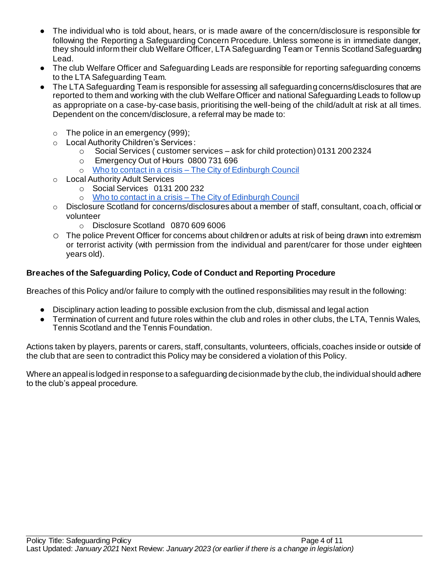- The individual who is told about, hears, or is made aware of the concern/disclosure is responsible for following the Reporting a Safeguarding Concern Procedure. Unless someone is in immediate danger, they should inform their club Welfare Officer, LTA Safeguarding Team or Tennis Scotland Safeguarding Lead.
- The club Welfare Officer and Safeguarding Leads are responsible for reporting safeguarding concerns to the LTA Safeguarding Team.
- The LTA Safeguarding Team is responsible for assessing all safeguarding concerns/disclosures that are reported to them and working with the club Welfare Officer and national Safeguarding Leads to follow up as appropriate on a case-by-case basis, prioritising the well-being of the child/adult at risk at all times. Dependent on the concern/disclosure, a referral may be made to:
	- $\circ$  The police in an emergency (999);
	- o Local Authority Children's Services :
		- o Social Services ( customer services ask for child protection) 0131 200 2324
		- o Emergency Out of Hours 0800 731 696
		- o Who to contact in a crisis [The City of Edinburgh Council](https://www.edinburgh.gov.uk/get-care-support/contact-crisis?documentId=12045&categoryId=20199)
	- o Local Authority Adult Services
		- o Social Services 0131 200 232
		- o Who to contact in a crisis [The City of Edinburgh Council](https://www.edinburgh.gov.uk/get-care-support/contact-crisis?documentId=12045&categoryId=20199)
	- $\circ$  Disclosure Scotland for concerns/disclosures about a member of staff, consultant, coach, official or volunteer
		- o Disclosure Scotland 0870 609 6006
	- o The police Prevent Officer for concerns about children or adults at risk of being drawn into extremism or terrorist activity (with permission from the individual and parent/carer for those under eighteen years old).

## **Breaches of the Safeguarding Policy, Code of Conduct and Reporting Procedure**

Breaches of this Policy and/or failure to comply with the outlined responsibilities may result in the following:

- Disciplinary action leading to possible exclusion from the club, dismissal and legal action
- Termination of current and future roles within the club and roles in other clubs, the LTA, Tennis Wales, Tennis Scotland and the Tennis Foundation*.*

Actions taken by players, parents or carers, staff, consultants, volunteers, officials, coaches inside or outside of the club that are seen to contradict this Policy may be considered a violation of this Policy.

Where an appeal is lodged in response to a safeguarding decision made by the club, the individual should adhere to the club's appeal procedure.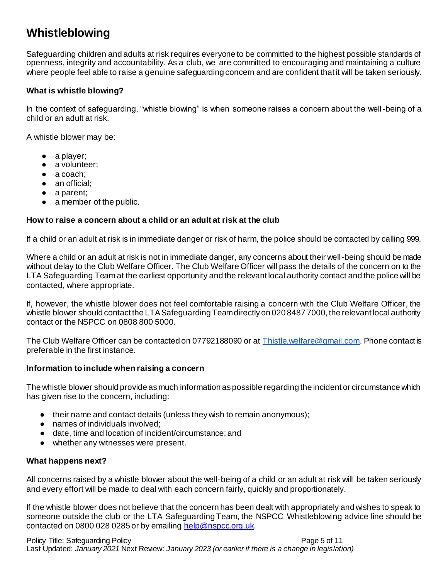# **Whistleblowing**

Safeguarding children and adults at risk requires everyone to be committed to the highest possible standards of openness, integrity and accountability. As a club, we are committed to encouraging and maintaining a culture where people feel able to raise a genuine safeguarding concern and are confident that it will be taken seriously.

## **What is whistle blowing?**

In the context of safeguarding, "whistle blowing" is when someone raises a concern about the well-being of a child or an adult at risk.

A whistle blower may be:

- a player;
- a volunteer;
- a coach:
- an official;
- a parent;
- a member of the public.

#### **How to raise a concern about a child or an adult at risk at the club**

If a child or an adult at risk is in immediate danger or risk of harm, the police should be contacted by calling 999.

Where a child or an adult at risk is not in immediate danger, any concerns about their well-being should be made without delay to the Club Welfare Officer. The Club Welfare Officer will pass the details of the concern on to the LTA Safeguarding Team at the earliest opportunity and the relevant local authority contact and the police will be contacted, where appropriate.

If, however, the whistle blower does not feel comfortable raising a concern with the Club Welfare Officer, the whistle blower should contact the LTA Safeguarding Team directly on 020 8487 7000, the relevant local authority contact or the NSPCC on 0808 800 5000.

The Club Welfare Officer can be contacted on 07792188090 or a[t Thistle.welfare@gmail.com](mailto:Thistle.welfare@gmail.com). Phone contact is preferable in the first instance.

#### **Information to include when raising a concern**

The whistle blower should provide as much information as possible regarding the incident or circumstance which has given rise to the concern, including:

- their name and contact details (unless they wish to remain anonymous);
- names of individuals involved:
- date, time and location of incident/circumstance; and
- whether any witnesses were present.

#### **What happens next?**

All concerns raised by a whistle blower about the well-being of a child or an adult at risk will be taken seriously and every effort will be made to deal with each concern fairly, quickly and proportionately.

If the whistle blower does not believe that the concern has been dealt with appropriately and wishes to speak to someone outside the club or the LTA Safeguarding Team, the NSPCC Whistleblowing advice line should be contacted on 0800 028 0285 or by emailin[g help@nspcc.org.uk.](mailto:help@nspcc.org.uk)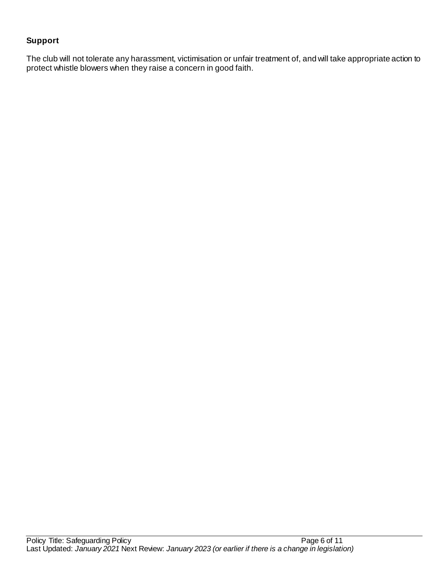## **Support**

The club will not tolerate any harassment, victimisation or unfair treatment of, and will take appropriate action to protect whistle blowers when they raise a concern in good faith.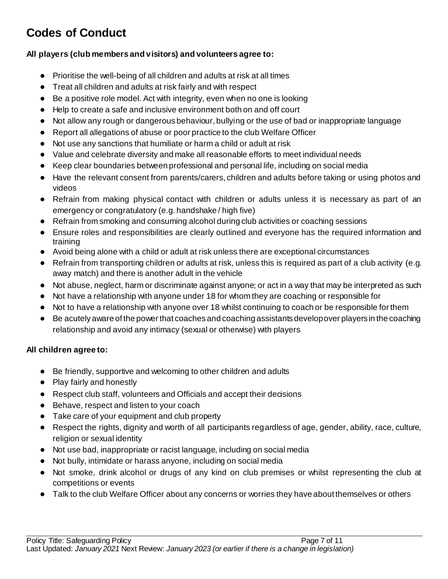# **Codes of Conduct**

## **All players (club members and visitors) and volunteers agree to:**

- Prioritise the well-being of all children and adults at risk at all times
- Treat all children and adults at risk fairly and with respect
- Be a positive role model. Act with integrity, even when no one is looking
- Help to create a safe and inclusive environment both on and off court
- Not allow any rough or dangerous behaviour, bullying or the use of bad or inappropriate language
- Report all allegations of abuse or poor practice to the club Welfare Officer
- Not use any sanctions that humiliate or harm a child or adult at risk
- Value and celebrate diversity and make all reasonable efforts to meet individual needs
- Keep clear boundaries between professional and personal life, including on social media
- Have the relevant consent from parents/carers, children and adults before taking or using photos and videos
- Refrain from making physical contact with children or adults unless it is necessary as part of an emergency or congratulatory (e.g. handshake / high five)
- Refrain from smoking and consuming alcohol during club activities or coaching sessions
- Ensure roles and responsibilities are clearly outlined and everyone has the required information and training
- Avoid being alone with a child or adult at risk unless there are exceptional circumstances
- Refrain from transporting children or adults at risk, unless this is required as part of a club activity (e.g. away match) and there is another adult in the vehicle
- Not abuse, neglect, harm or discriminate against anyone; or act in a way that may be interpreted as such
- Not have a relationship with anyone under 18 for whom they are coaching or responsible for
- Not to have a relationship with anyone over 18 whilst continuing to coach or be responsible for them
- Be acutely aware of the power that coaches and coaching assistants develop over players in the coaching relationship and avoid any intimacy (sexual or otherwise) with players

## **All children agree to:**

- Be friendly, supportive and welcoming to other children and adults
- Play fairly and honestly
- Respect club staff, volunteers and Officials and accept their decisions
- Behave, respect and listen to your coach
- Take care of your equipment and club property
- Respect the rights, dignity and worth of all participants regardless of age, gender, ability, race, culture, religion or sexual identity
- Not use bad, inappropriate or racist language, including on social media
- Not bully, intimidate or harass anyone, including on social media
- Not smoke, drink alcohol or drugs of any kind on club premises or whilst representing the club at competitions or events
- Talk to the club Welfare Officer about any concerns or worries they have about themselves or others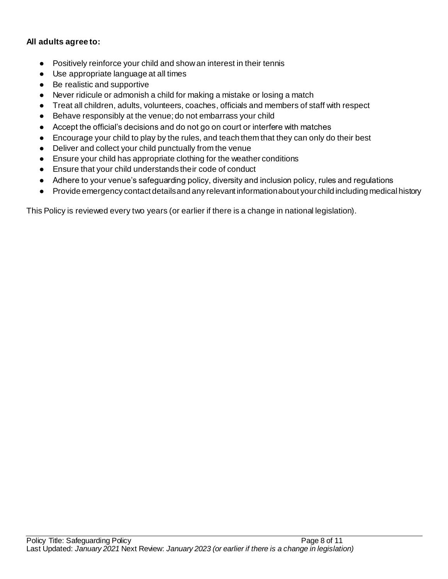## **All adults agree to:**

- Positively reinforce your child and show an interest in their tennis
- Use appropriate language at all times
- Be realistic and supportive
- Never ridicule or admonish a child for making a mistake or losing a match
- Treat all children, adults, volunteers, coaches, officials and members of staff with respect
- Behave responsibly at the venue; do not embarrass your child
- Accept the official's decisions and do not go on court or interfere with matches
- Encourage your child to play by the rules, and teach them that they can only do their best
- Deliver and collect your child punctually from the venue
- Ensure your child has appropriate clothing for the weather conditions
- Ensure that your child understands their code of conduct
- Adhere to your venue's safeguarding policy, diversity and inclusion policy, rules and regulations
- Provide emergency contact details and any relevant information about your child including medical history

This Policy is reviewed every two years (or earlier if there is a change in national legislation).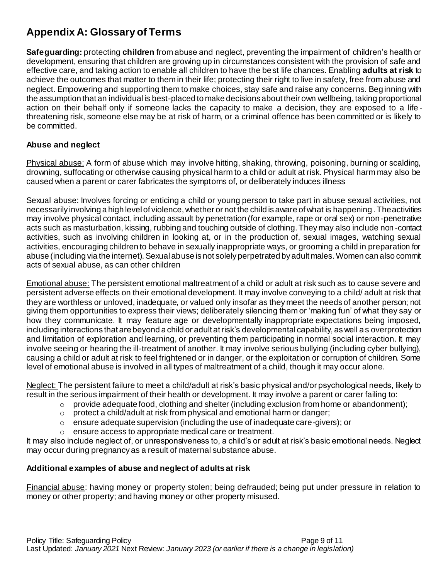# **Appendix A: Glossary of Terms**

**Safeguarding:** protecting **children** from abuse and neglect, preventing the impairment of children's health or development, ensuring that children are growing up in circumstances consistent with the provision of safe and effective care, and taking action to enable all children to have the best life chances. Enabling **adults at risk** to achieve the outcomes that matter to them in their life; protecting their right to live in safety, free from abuse and neglect. Empowering and supporting them to make choices, stay safe and raise any concerns. Beg inning with the assumption that an individual is best-placed to make decisions about their own wellbeing, taking proportional action on their behalf only if someone lacks the capacity to make a decision, they are exposed to a life threatening risk, someone else may be at risk of harm, or a criminal offence has been committed or is likely to be committed.

## **Abuse and neglect**

Physical abuse: A form of abuse which may involve hitting, shaking, throwing, poisoning, burning or scalding, drowning, suffocating or otherwise causing physical harm to a child or adult at risk. Physical harm may also be caused when a parent or carer fabricates the symptoms of, or deliberately induces illness

Sexual abuse: Involves forcing or enticing a child or young person to take part in abuse sexual activities, not necessarily involving a high level of violence, whether or not the child is aware of what is happening . The activities may involve physical contact, including assault by penetration (for example, rape or oral sex) or non -penetrative acts such as masturbation, kissing, rubbing and touching outside of clothing. They may also include non -contact activities, such as involving children in looking at, or in the production of, sexual images, watching sexual activities, encouraging children to behave in sexually inappropriate ways, or grooming a child in preparation for abuse (including via the internet). Sexual abuse is not solely perpetrated by adult males. Women can also commit acts of sexual abuse, as can other children

Emotional abuse: The persistent emotional maltreatment of a child or adult at risk such as to cause severe and persistent adverse effects on their emotional development. It may involve conveying to a child/ adult at risk that they are worthless or unloved, inadequate, or valued only insofar as they meet the needs of another person; not giving them opportunities to express their views; deliberately silencing them or 'making fun' of what they say or how they communicate. It may feature age or developmentally inappropriate expectations being imposed, including interactions that are beyond a child or adult at risk's developmental capability, as well a s overprotection and limitation of exploration and learning, or preventing them participating in normal social interaction. It may involve seeing or hearing the ill-treatment of another. It may involve serious bullying (including cyber bullying), causing a child or adult at risk to feel frightened or in danger, or the exploitation or corruption of children. Some level of emotional abuse is involved in all types of maltreatment of a child, though it may occur alone.

Neglect: The persistent failure to meet a child/adult at risk's basic physical and/or psychological needs, likely to result in the serious impairment of their health or development. It may involve a parent or carer failing to:

- $\circ$  provide adequate food, clothing and shelter (including exclusion from home or abandonment);
- $\circ$  protect a child/adult at risk from physical and emotional harm or danger;
- $\circ$  ensure adequate supervision (including the use of inadequate care-givers); or
- ensure access to appropriate medical care or treatment.

It may also include neglect of, or unresponsiveness to, a child's or adult at risk's basic emotional needs. Neglect may occur during pregnancy as a result of maternal substance abuse.

## **Additional examples of abuse and neglect of adults at risk**

Financial abuse: having money or property stolen; being defrauded; being put under pressure in relation to money or other property; and having money or other property misused.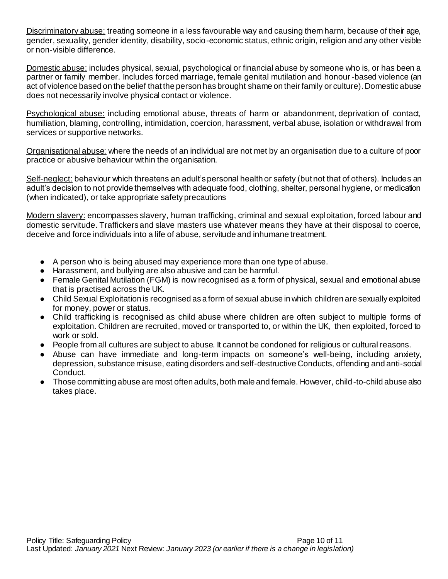Discriminatory abuse: treating someone in a less favourable way and causing them harm, because of their age, gender, sexuality, gender identity, disability, socio-economic status, ethnic origin, religion and any other visible or non-visible difference.

Domestic abuse: includes physical, sexual, psychological or financial abuse by someone who is, or has been a partner or family member. Includes forced marriage, female genital mutilation and honour-based violence (an act of violence based on the belief that the person has brought shame on their family or culture). Domestic abuse does not necessarily involve physical contact or violence.

Psychological abuse: including emotional abuse, threats of harm or abandonment, deprivation of contact, humiliation, blaming, controlling, intimidation, coercion, harassment, verbal abuse, isolation or withdrawal from services or supportive networks.

Organisational abuse: where the needs of an individual are not met by an organisation due to a culture of poor practice or abusive behaviour within the organisation.

Self-neglect: behaviour which threatens an adult's personal health or safety (but not that of others). Includes an adult's decision to not provide themselves with adequate food, clothing, shelter, personal hygiene, or medication (when indicated), or take appropriate safety precautions

Modern slavery: encompasses slavery, human trafficking, criminal and sexual exploitation, forced labour and domestic servitude. Traffickers and slave masters use whatever means they have at their disposal to coerce, deceive and force individuals into a life of abuse, servitude and inhumane treatment.

- A person who is being abused may experience more than one type of abuse.
- Harassment, and bullying are also abusive and can be harmful.
- Female Genital Mutilation (FGM) is now recognised as a form of physical, sexual and emotional abuse that is practised across the UK.
- Child Sexual Exploitation is recognised as a form of sexual abuse in which children are sexually exploited for money, power or status.
- Child trafficking is recognised as child abuse where children are often subject to multiple forms of exploitation. Children are recruited, moved or transported to, or within the UK, then exploited, forced to work or sold.
- People from all cultures are subject to abuse. It cannot be condoned for religious or cultural reasons.
- Abuse can have immediate and long-term impacts on someone's well-being, including anxiety, depression, substance misuse, eating disorders and self-destructive Conducts, offending and anti-social Conduct.
- Those committing abuse are most often adults, both male and female. However, child-to-child abuse also takes place.